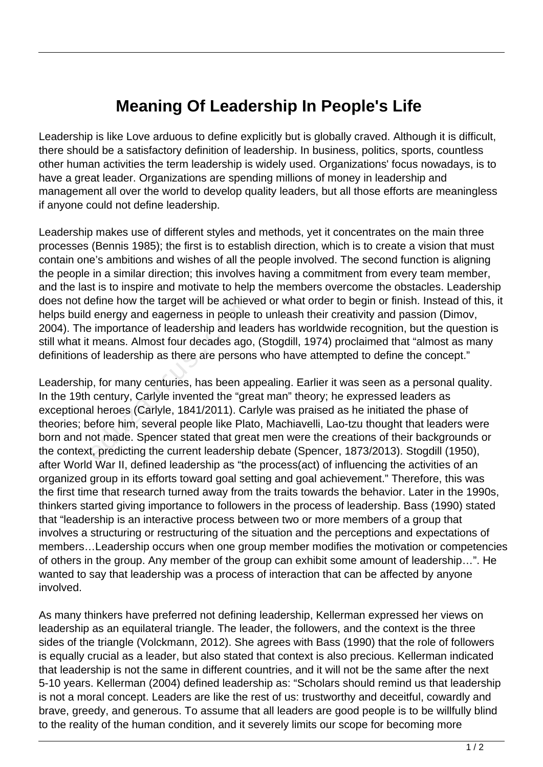## **Meaning Of Leadership In People's Life**

Leadership is like Love arduous to define explicitly but is globally craved. Although it is difficult, there should be a satisfactory definition of leadership. In business, politics, sports, countless other human activities the term leadership is widely used. Organizations' focus nowadays, is to have a great leader. Organizations are spending millions of money in leadership and management all over the world to develop quality leaders, but all those efforts are meaningless if anyone could not define leadership.

Leadership makes use of different styles and methods, yet it concentrates on the main three processes (Bennis 1985); the first is to establish direction, which is to create a vision that must contain one's ambitions and wishes of all the people involved. The second function is aligning the people in a similar direction; this involves having a commitment from every team member, and the last is to inspire and motivate to help the members overcome the obstacles. Leadership does not define how the target will be achieved or what order to begin or finish. Instead of this, it helps build energy and eagerness in people to unleash their creativity and passion (Dimov, 2004). The importance of leadership and leaders has worldwide recognition, but the question is still what it means. Almost four decades ago, (Stogdill, 1974) proclaimed that "almost as many definitions of leadership as there are persons who have attempted to define the concept."

Leadership, for many centuries, has been appealing. Earlier it was seen as a personal quality. In the 19th century, Carlyle invented the "great man" theory; he expressed leaders as exceptional heroes (Carlyle, 1841/2011). Carlyle was praised as he initiated the phase of theories; before him, several people like Plato, Machiavelli, Lao-tzu thought that leaders were born and not made. Spencer stated that great men were the creations of their backgrounds or the context, predicting the current leadership debate (Spencer, 1873/2013). Stogdill (1950), after World War II, defined leadership as "the process(act) of influencing the activities of an organized group in its efforts toward goal setting and goal achievement." Therefore, this was the first time that research turned away from the traits towards the behavior. Later in the 1990s, thinkers started giving importance to followers in the process of leadership. Bass (1990) stated that "leadership is an interactive process between two or more members of a group that involves a structuring or restructuring of the situation and the perceptions and expectations of members…Leadership occurs when one group member modifies the motivation or competencies of others in the group. Any member of the group can exhibit some amount of leadership…". He wanted to say that leadership was a process of interaction that can be affected by anyone involved. l energy and eagerness in people<br>
e importance of leadership and lea<br>
means. Almost four decades ago<br>
of leadership as there are person<br>
D, for many centuries, has been ap<br>
century, Carlyle invented the "greatlend"<br>
al her

As many thinkers have preferred not defining leadership, Kellerman expressed her views on leadership as an equilateral triangle. The leader, the followers, and the context is the three sides of the triangle (Volckmann, 2012). She agrees with Bass (1990) that the role of followers is equally crucial as a leader, but also stated that context is also precious. Kellerman indicated that leadership is not the same in different countries, and it will not be the same after the next 5-10 years. Kellerman (2004) defined leadership as: "Scholars should remind us that leadership is not a moral concept. Leaders are like the rest of us: trustworthy and deceitful, cowardly and brave, greedy, and generous. To assume that all leaders are good people is to be willfully blind to the reality of the human condition, and it severely limits our scope for becoming more